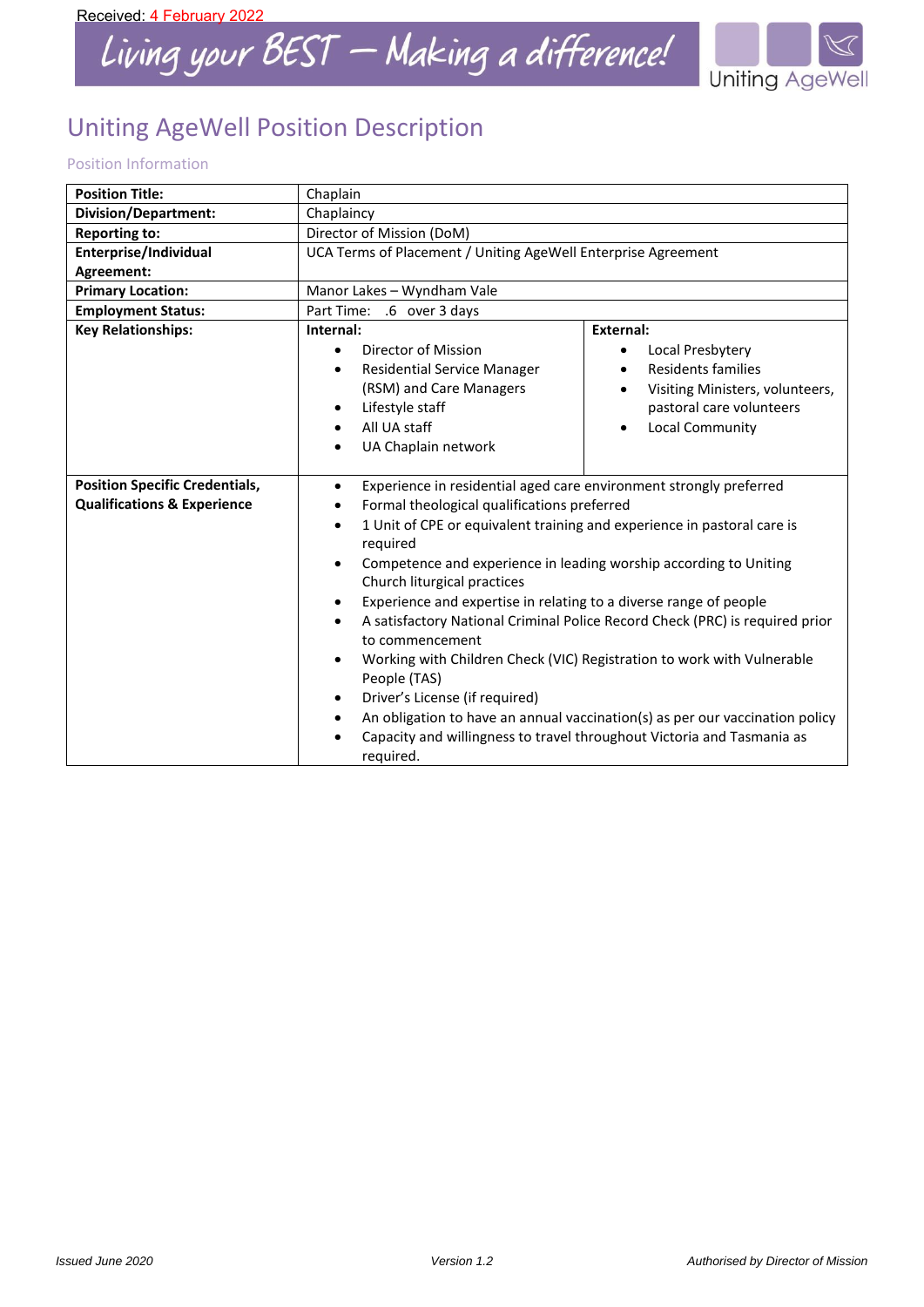

# Uniting AgeWell Position Description

# Position Information

| <b>Position Title:</b>                                                          | Chaplain                                                                                                                                                                                                                                                                                                                                                                                                                                                                                                                                                                                                                                                                                                                                                                                                                                                                        |                                                                                                                                                   |  |
|---------------------------------------------------------------------------------|---------------------------------------------------------------------------------------------------------------------------------------------------------------------------------------------------------------------------------------------------------------------------------------------------------------------------------------------------------------------------------------------------------------------------------------------------------------------------------------------------------------------------------------------------------------------------------------------------------------------------------------------------------------------------------------------------------------------------------------------------------------------------------------------------------------------------------------------------------------------------------|---------------------------------------------------------------------------------------------------------------------------------------------------|--|
| Division/Department:                                                            | Chaplaincy                                                                                                                                                                                                                                                                                                                                                                                                                                                                                                                                                                                                                                                                                                                                                                                                                                                                      |                                                                                                                                                   |  |
| <b>Reporting to:</b>                                                            | Director of Mission (DoM)                                                                                                                                                                                                                                                                                                                                                                                                                                                                                                                                                                                                                                                                                                                                                                                                                                                       |                                                                                                                                                   |  |
| Enterprise/Individual                                                           | UCA Terms of Placement / Uniting AgeWell Enterprise Agreement                                                                                                                                                                                                                                                                                                                                                                                                                                                                                                                                                                                                                                                                                                                                                                                                                   |                                                                                                                                                   |  |
| Agreement:                                                                      |                                                                                                                                                                                                                                                                                                                                                                                                                                                                                                                                                                                                                                                                                                                                                                                                                                                                                 |                                                                                                                                                   |  |
| <b>Primary Location:</b>                                                        | Manor Lakes - Wyndham Vale                                                                                                                                                                                                                                                                                                                                                                                                                                                                                                                                                                                                                                                                                                                                                                                                                                                      |                                                                                                                                                   |  |
| <b>Employment Status:</b>                                                       | Part Time: .6 over 3 days                                                                                                                                                                                                                                                                                                                                                                                                                                                                                                                                                                                                                                                                                                                                                                                                                                                       |                                                                                                                                                   |  |
| <b>Key Relationships:</b>                                                       | External:<br>Internal:                                                                                                                                                                                                                                                                                                                                                                                                                                                                                                                                                                                                                                                                                                                                                                                                                                                          |                                                                                                                                                   |  |
|                                                                                 | Director of Mission<br>$\bullet$<br><b>Residential Service Manager</b><br>$\bullet$<br>(RSM) and Care Managers<br>Lifestyle staff<br>$\bullet$<br>All UA staff<br>$\bullet$<br>UA Chaplain network<br>$\bullet$                                                                                                                                                                                                                                                                                                                                                                                                                                                                                                                                                                                                                                                                 | Local Presbytery<br>$\bullet$<br>Residents families<br>Visiting Ministers, volunteers,<br>٠<br>pastoral care volunteers<br><b>Local Community</b> |  |
| <b>Position Specific Credentials,</b><br><b>Qualifications &amp; Experience</b> | Experience in residential aged care environment strongly preferred<br>$\bullet$<br>Formal theological qualifications preferred<br>$\bullet$<br>1 Unit of CPE or equivalent training and experience in pastoral care is<br>$\bullet$<br>required<br>Competence and experience in leading worship according to Uniting<br>Church liturgical practices<br>Experience and expertise in relating to a diverse range of people<br>$\bullet$<br>A satisfactory National Criminal Police Record Check (PRC) is required prior<br>$\bullet$<br>to commencement<br>Working with Children Check (VIC) Registration to work with Vulnerable<br>$\bullet$<br>People (TAS)<br>Driver's License (if required)<br>٠<br>An obligation to have an annual vaccination(s) as per our vaccination policy<br>٠<br>Capacity and willingness to travel throughout Victoria and Tasmania as<br>required. |                                                                                                                                                   |  |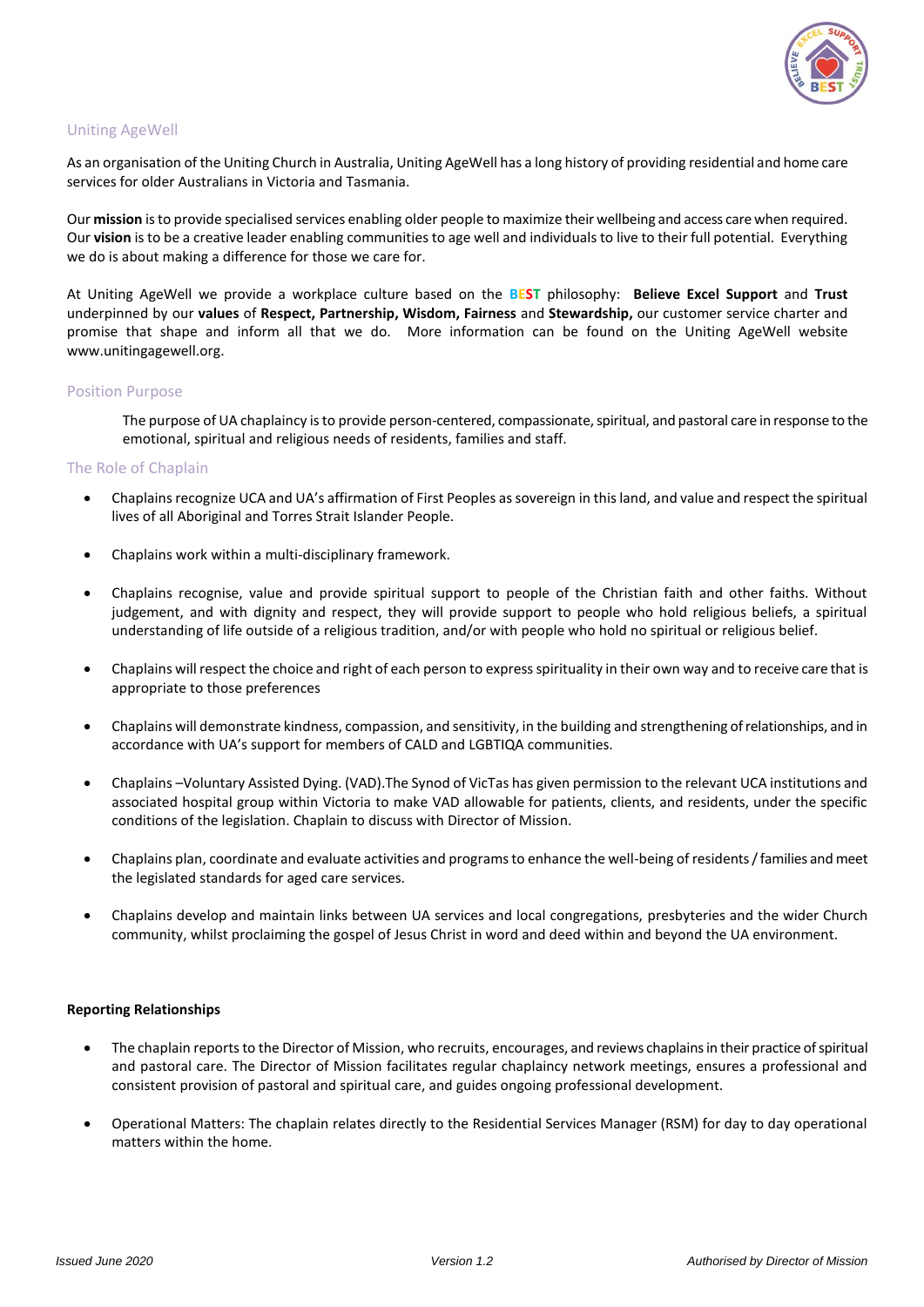

# Uniting AgeWell

As an organisation of the Uniting Church in Australia, Uniting AgeWell has a long history of providing residential and home care services for older Australians in Victoria and Tasmania.

Our **mission** is to provide specialised services enabling older people to maximize their wellbeing and access care when required. Our **vision** is to be a creative leader enabling communities to age well and individuals to live to their full potential. Everything we do is about making a difference for those we care for.

At Uniting AgeWell we provide a workplace culture based on the **BEST** philosophy: **Believe Excel Support** and **Trust** underpinned by our **values** of **Respect, Partnership, Wisdom, Fairness** and **Stewardship,** our customer service charter and promise that shape and inform all that we do. More information can be found on the Uniting AgeWell website [www.unitingagewell.org.](http://www.unitingagewell.org/)

#### Position Purpose

The purpose of UA chaplaincy is to provide person-centered, compassionate, spiritual, and pastoral care in response to the emotional, spiritual and religious needs of residents, families and staff.

#### The Role of Chaplain

- Chaplains recognize UCA and UA's affirmation of First Peoples as sovereign in this land, and value and respect the spiritual lives of all Aboriginal and Torres Strait Islander People.
- Chaplains work within a multi-disciplinary framework.
- Chaplains recognise, value and provide spiritual support to people of the Christian faith and other faiths. Without judgement, and with dignity and respect, they will provide support to people who hold religious beliefs, a spiritual understanding of life outside of a religious tradition, and/or with people who hold no spiritual or religious belief.
- Chaplains will respect the choice and right of each person to express spirituality in their own way and to receive care that is appropriate to those preferences
- Chaplains will demonstrate kindness, compassion, and sensitivity, in the building and strengthening of relationships, and in accordance with UA's support for members of CALD and LGBTIQA communities.
- Chaplains –Voluntary Assisted Dying. (VAD).The Synod of VicTas has given permission to the relevant UCA institutions and associated hospital group within Victoria to make VAD allowable for patients, clients, and residents, under the specific conditions of the legislation. Chaplain to discuss with Director of Mission.
- Chaplains plan, coordinate and evaluate activities and programs to enhance the well-being of residents / families and meet the legislated standards for aged care services.
- Chaplains develop and maintain links between UA services and local congregations, presbyteries and the wider Church community, whilst proclaiming the gospel of Jesus Christ in word and deed within and beyond the UA environment.

#### **Reporting Relationships**

- The chaplain reports to the Director of Mission, who recruits, encourages, and reviews chaplains in their practice of spiritual and pastoral care. The Director of Mission facilitates regular chaplaincy network meetings, ensures a professional and consistent provision of pastoral and spiritual care, and guides ongoing professional development.
- Operational Matters: The chaplain relates directly to the Residential Services Manager (RSM) for day to day operational matters within the home.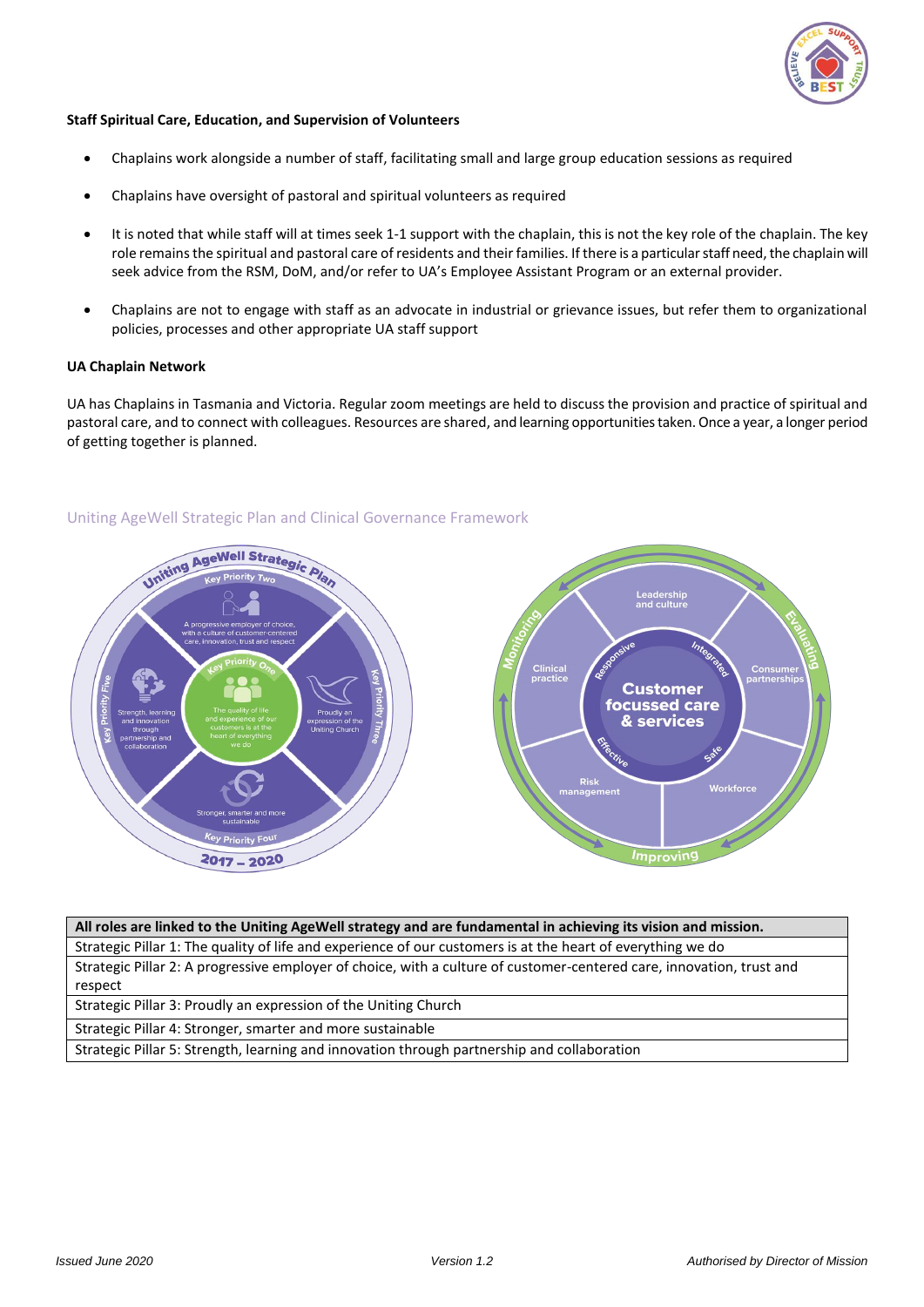

#### **Staff Spiritual Care, Education, and Supervision of Volunteers**

- Chaplains work alongside a number of staff, facilitating small and large group education sessions as required
- Chaplains have oversight of pastoral and spiritual volunteers as required
- It is noted that while staff will at times seek 1-1 support with the chaplain, this is not the key role of the chaplain. The key role remains the spiritual and pastoral care of residents and their families. If there is a particular staff need, the chaplain will seek advice from the RSM, DoM, and/or refer to UA's Employee Assistant Program or an external provider.
- Chaplains are not to engage with staff as an advocate in industrial or grievance issues, but refer them to organizational policies, processes and other appropriate UA staff support

#### **UA Chaplain Network**

UA has Chaplains in Tasmania and Victoria. Regular zoom meetings are held to discuss the provision and practice of spiritual and pastoral care, and to connect with colleagues. Resources are shared, and learning opportunities taken. Once a year, a longer period of getting together is planned.



#### Uniting AgeWell Strategic Plan and Clinical Governance Framework

| All roles are linked to the Uniting AgeWell strategy and are fundamental in achieving its vision and mission.         |  |  |
|-----------------------------------------------------------------------------------------------------------------------|--|--|
| Strategic Pillar 1: The quality of life and experience of our customers is at the heart of everything we do           |  |  |
| Strategic Pillar 2: A progressive employer of choice, with a culture of customer-centered care, innovation, trust and |  |  |
| respect                                                                                                               |  |  |
| Strategic Pillar 3: Proudly an expression of the Uniting Church                                                       |  |  |
|                                                                                                                       |  |  |

Strategic Pillar 4: Stronger, smarter and more sustainable

Strategic Pillar 5: Strength, learning and innovation through partnership and collaboration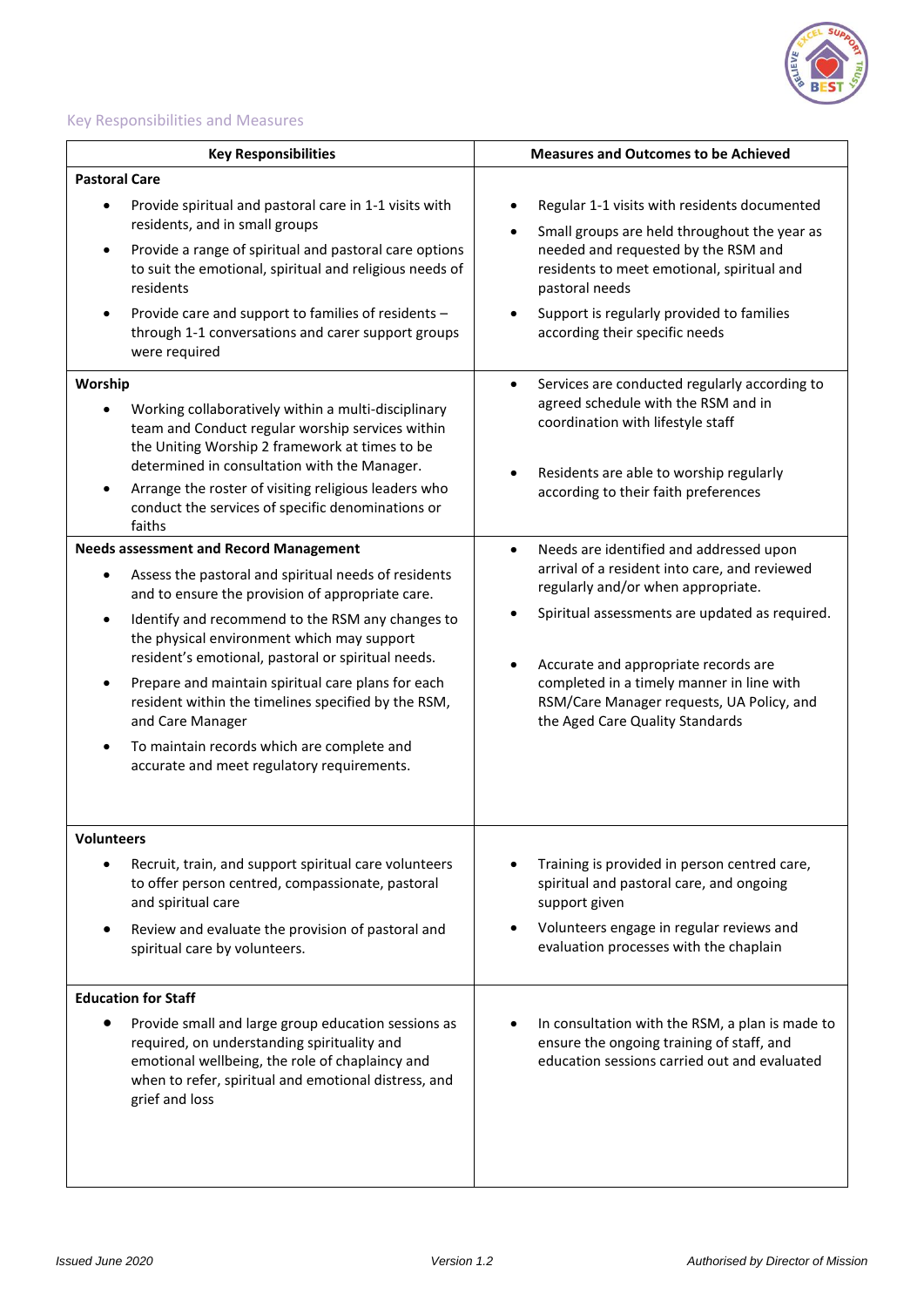

# Key Responsibilities and Measures

| <b>Key Responsibilities</b>                                                                                                                                                                                                     | <b>Measures and Outcomes to be Achieved</b>                                                                                                  |  |
|---------------------------------------------------------------------------------------------------------------------------------------------------------------------------------------------------------------------------------|----------------------------------------------------------------------------------------------------------------------------------------------|--|
| <b>Pastoral Care</b>                                                                                                                                                                                                            |                                                                                                                                              |  |
| Provide spiritual and pastoral care in 1-1 visits with<br>residents, and in small groups                                                                                                                                        | Regular 1-1 visits with residents documented<br>Small groups are held throughout the year as                                                 |  |
| Provide a range of spiritual and pastoral care options<br>to suit the emotional, spiritual and religious needs of<br>residents                                                                                                  | needed and requested by the RSM and<br>residents to meet emotional, spiritual and<br>pastoral needs                                          |  |
| Provide care and support to families of residents -<br>through 1-1 conversations and carer support groups<br>were required                                                                                                      | Support is regularly provided to families<br>according their specific needs                                                                  |  |
| Worship                                                                                                                                                                                                                         | Services are conducted regularly according to<br>$\bullet$                                                                                   |  |
| Working collaboratively within a multi-disciplinary<br>team and Conduct regular worship services within<br>the Uniting Worship 2 framework at times to be<br>determined in consultation with the Manager.                       | agreed schedule with the RSM and in<br>coordination with lifestyle staff                                                                     |  |
| Arrange the roster of visiting religious leaders who<br>conduct the services of specific denominations or<br>faiths                                                                                                             | Residents are able to worship regularly<br>according to their faith preferences                                                              |  |
| <b>Needs assessment and Record Management</b>                                                                                                                                                                                   | Needs are identified and addressed upon                                                                                                      |  |
| Assess the pastoral and spiritual needs of residents<br>and to ensure the provision of appropriate care.                                                                                                                        | arrival of a resident into care, and reviewed<br>regularly and/or when appropriate.                                                          |  |
| Identify and recommend to the RSM any changes to<br>$\bullet$<br>the physical environment which may support<br>resident's emotional, pastoral or spiritual needs.                                                               | Spiritual assessments are updated as required.<br>Accurate and appropriate records are                                                       |  |
| Prepare and maintain spiritual care plans for each<br>resident within the timelines specified by the RSM,<br>and Care Manager                                                                                                   | completed in a timely manner in line with<br>RSM/Care Manager requests, UA Policy, and<br>the Aged Care Quality Standards                    |  |
| To maintain records which are complete and<br>accurate and meet regulatory requirements.                                                                                                                                        |                                                                                                                                              |  |
| Volunteers                                                                                                                                                                                                                      |                                                                                                                                              |  |
| Recruit, train, and support spiritual care volunteers<br>to offer person centred, compassionate, pastoral<br>and spiritual care                                                                                                 | Training is provided in person centred care,<br>spiritual and pastoral care, and ongoing<br>support given                                    |  |
| Review and evaluate the provision of pastoral and<br>spiritual care by volunteers.                                                                                                                                              | Volunteers engage in regular reviews and<br>evaluation processes with the chaplain                                                           |  |
| <b>Education for Staff</b>                                                                                                                                                                                                      |                                                                                                                                              |  |
| Provide small and large group education sessions as<br>required, on understanding spirituality and<br>emotional wellbeing, the role of chaplaincy and<br>when to refer, spiritual and emotional distress, and<br>grief and loss | In consultation with the RSM, a plan is made to<br>ensure the ongoing training of staff, and<br>education sessions carried out and evaluated |  |
|                                                                                                                                                                                                                                 |                                                                                                                                              |  |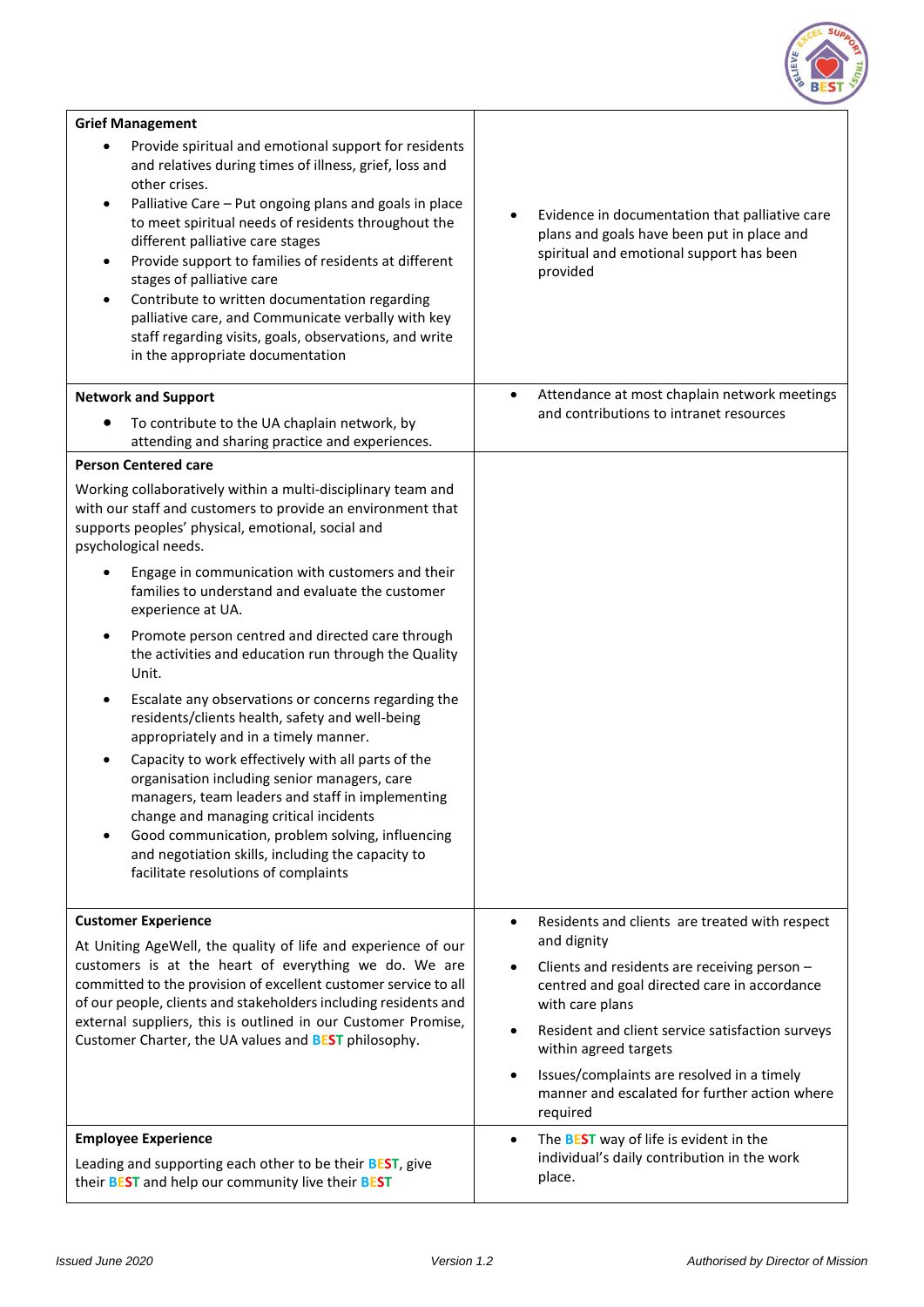

| <b>Grief Management</b>                                                                                                                                                                                                                                                                                                                                                                                                                                                                                                                                                                                                 |                                                                                                                                                                                                                                                           |
|-------------------------------------------------------------------------------------------------------------------------------------------------------------------------------------------------------------------------------------------------------------------------------------------------------------------------------------------------------------------------------------------------------------------------------------------------------------------------------------------------------------------------------------------------------------------------------------------------------------------------|-----------------------------------------------------------------------------------------------------------------------------------------------------------------------------------------------------------------------------------------------------------|
| Provide spiritual and emotional support for residents<br>and relatives during times of illness, grief, loss and<br>other crises.<br>Palliative Care - Put ongoing plans and goals in place<br>$\bullet$<br>to meet spiritual needs of residents throughout the<br>different palliative care stages<br>Provide support to families of residents at different<br>$\bullet$<br>stages of palliative care<br>Contribute to written documentation regarding<br>$\bullet$<br>palliative care, and Communicate verbally with key<br>staff regarding visits, goals, observations, and write<br>in the appropriate documentation | Evidence in documentation that palliative care<br>plans and goals have been put in place and<br>spiritual and emotional support has been<br>provided                                                                                                      |
| <b>Network and Support</b>                                                                                                                                                                                                                                                                                                                                                                                                                                                                                                                                                                                              | Attendance at most chaplain network meetings<br>$\bullet$<br>and contributions to intranet resources                                                                                                                                                      |
| To contribute to the UA chaplain network, by<br>attending and sharing practice and experiences.                                                                                                                                                                                                                                                                                                                                                                                                                                                                                                                         |                                                                                                                                                                                                                                                           |
| <b>Person Centered care</b>                                                                                                                                                                                                                                                                                                                                                                                                                                                                                                                                                                                             |                                                                                                                                                                                                                                                           |
| Working collaboratively within a multi-disciplinary team and<br>with our staff and customers to provide an environment that<br>supports peoples' physical, emotional, social and<br>psychological needs.                                                                                                                                                                                                                                                                                                                                                                                                                |                                                                                                                                                                                                                                                           |
| Engage in communication with customers and their<br>families to understand and evaluate the customer<br>experience at UA.                                                                                                                                                                                                                                                                                                                                                                                                                                                                                               |                                                                                                                                                                                                                                                           |
| Promote person centred and directed care through<br>٠<br>the activities and education run through the Quality<br>Unit.                                                                                                                                                                                                                                                                                                                                                                                                                                                                                                  |                                                                                                                                                                                                                                                           |
| Escalate any observations or concerns regarding the<br>residents/clients health, safety and well-being<br>appropriately and in a timely manner.                                                                                                                                                                                                                                                                                                                                                                                                                                                                         |                                                                                                                                                                                                                                                           |
| Capacity to work effectively with all parts of the<br>organisation including senior managers, care<br>managers, team leaders and staff in implementing<br>change and managing critical incidents<br>Good communication, problem solving, influencing<br>and negotiation skills, including the capacity to<br>facilitate resolutions of complaints                                                                                                                                                                                                                                                                       |                                                                                                                                                                                                                                                           |
| <b>Customer Experience</b>                                                                                                                                                                                                                                                                                                                                                                                                                                                                                                                                                                                              | Residents and clients are treated with respect<br>$\bullet$                                                                                                                                                                                               |
| At Uniting AgeWell, the quality of life and experience of our<br>customers is at the heart of everything we do. We are<br>committed to the provision of excellent customer service to all<br>of our people, clients and stakeholders including residents and<br>external suppliers, this is outlined in our Customer Promise,<br>Customer Charter, the UA values and <b>BEST</b> philosophy.                                                                                                                                                                                                                            | and dignity<br>Clients and residents are receiving person -<br>centred and goal directed care in accordance<br>with care plans<br>Resident and client service satisfaction surveys<br>within agreed targets<br>Issues/complaints are resolved in a timely |
|                                                                                                                                                                                                                                                                                                                                                                                                                                                                                                                                                                                                                         | manner and escalated for further action where<br>required                                                                                                                                                                                                 |
| <b>Employee Experience</b><br>Leading and supporting each other to be their <b>BEST</b> , give<br>their <b>BEST</b> and help our community live their <b>BEST</b>                                                                                                                                                                                                                                                                                                                                                                                                                                                       | The <b>BEST</b> way of life is evident in the<br>$\bullet$<br>individual's daily contribution in the work<br>place.                                                                                                                                       |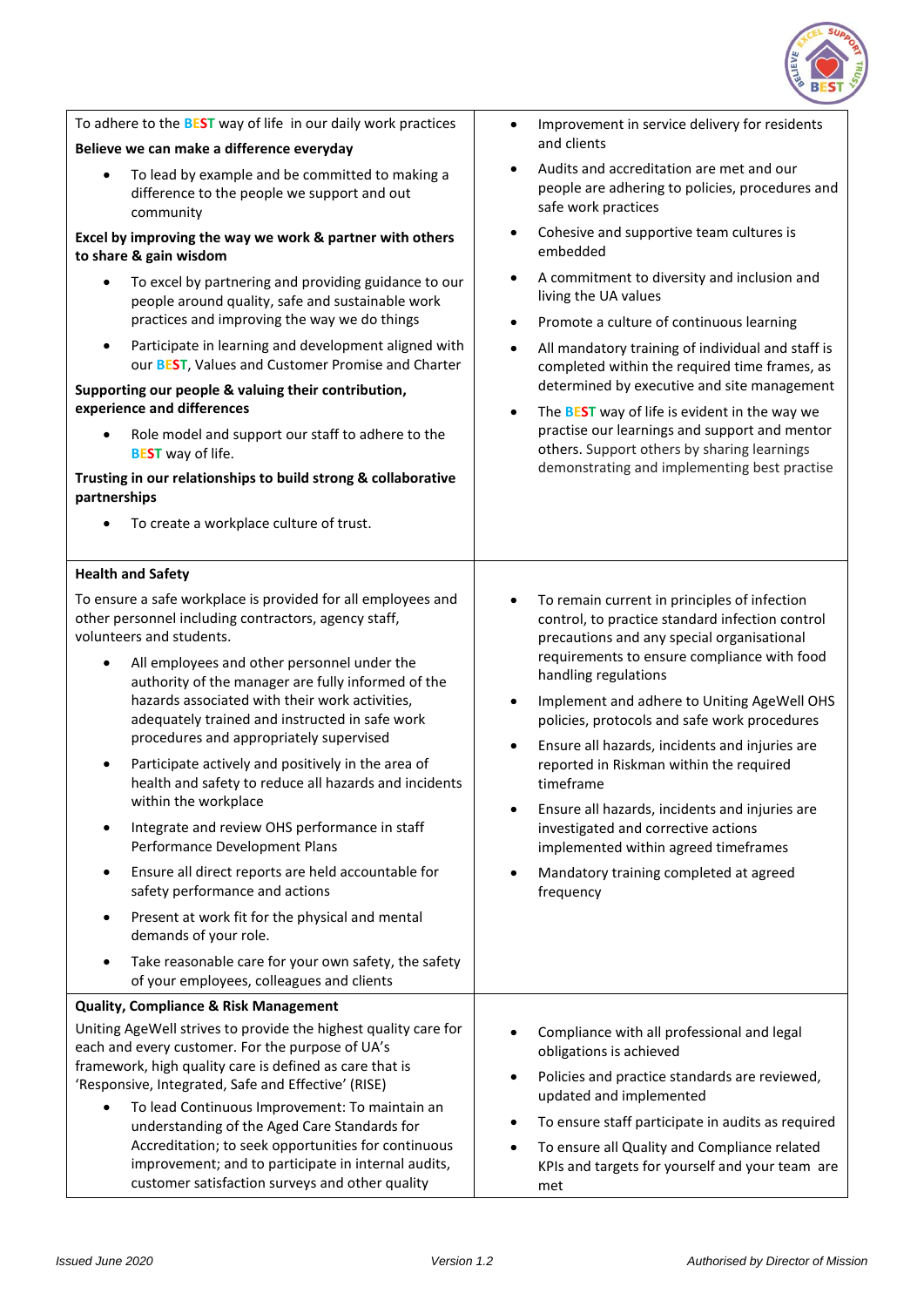

| To adhere to the <b>BEST</b> way of life in our daily work practices                                                                                                                                                                                                                                                                                                                                                                                                                                                                                                                                                                                                                                                                                                                                                                                                                                                                                                         | Improvement in service delivery for residents<br>$\bullet$                                                                                                                                                                                                                                                                                                                                                                                                                                                                                                                                                                                                                |
|------------------------------------------------------------------------------------------------------------------------------------------------------------------------------------------------------------------------------------------------------------------------------------------------------------------------------------------------------------------------------------------------------------------------------------------------------------------------------------------------------------------------------------------------------------------------------------------------------------------------------------------------------------------------------------------------------------------------------------------------------------------------------------------------------------------------------------------------------------------------------------------------------------------------------------------------------------------------------|---------------------------------------------------------------------------------------------------------------------------------------------------------------------------------------------------------------------------------------------------------------------------------------------------------------------------------------------------------------------------------------------------------------------------------------------------------------------------------------------------------------------------------------------------------------------------------------------------------------------------------------------------------------------------|
| Believe we can make a difference everyday                                                                                                                                                                                                                                                                                                                                                                                                                                                                                                                                                                                                                                                                                                                                                                                                                                                                                                                                    | and clients                                                                                                                                                                                                                                                                                                                                                                                                                                                                                                                                                                                                                                                               |
| To lead by example and be committed to making a<br>$\bullet$<br>difference to the people we support and out<br>community                                                                                                                                                                                                                                                                                                                                                                                                                                                                                                                                                                                                                                                                                                                                                                                                                                                     | Audits and accreditation are met and our<br>$\bullet$<br>people are adhering to policies, procedures and<br>safe work practices                                                                                                                                                                                                                                                                                                                                                                                                                                                                                                                                           |
| Excel by improving the way we work & partner with others<br>to share & gain wisdom                                                                                                                                                                                                                                                                                                                                                                                                                                                                                                                                                                                                                                                                                                                                                                                                                                                                                           | Cohesive and supportive team cultures is<br>$\bullet$<br>embedded                                                                                                                                                                                                                                                                                                                                                                                                                                                                                                                                                                                                         |
| To excel by partnering and providing guidance to our<br>$\bullet$<br>people around quality, safe and sustainable work<br>practices and improving the way we do things<br>Participate in learning and development aligned with<br>$\bullet$<br>our BEST, Values and Customer Promise and Charter<br>Supporting our people & valuing their contribution,<br>experience and differences<br>Role model and support our staff to adhere to the<br><b>BEST</b> way of life.<br>Trusting in our relationships to build strong & collaborative<br>partnerships                                                                                                                                                                                                                                                                                                                                                                                                                       | A commitment to diversity and inclusion and<br>$\bullet$<br>living the UA values<br>Promote a culture of continuous learning<br>$\bullet$<br>All mandatory training of individual and staff is<br>$\bullet$<br>completed within the required time frames, as<br>determined by executive and site management<br>The <b>BEST</b> way of life is evident in the way we<br>$\bullet$<br>practise our learnings and support and mentor<br>others. Support others by sharing learnings<br>demonstrating and implementing best practise                                                                                                                                          |
| To create a workplace culture of trust.                                                                                                                                                                                                                                                                                                                                                                                                                                                                                                                                                                                                                                                                                                                                                                                                                                                                                                                                      |                                                                                                                                                                                                                                                                                                                                                                                                                                                                                                                                                                                                                                                                           |
| <b>Health and Safety</b>                                                                                                                                                                                                                                                                                                                                                                                                                                                                                                                                                                                                                                                                                                                                                                                                                                                                                                                                                     |                                                                                                                                                                                                                                                                                                                                                                                                                                                                                                                                                                                                                                                                           |
| To ensure a safe workplace is provided for all employees and<br>other personnel including contractors, agency staff,<br>volunteers and students.<br>All employees and other personnel under the<br>$\bullet$<br>authority of the manager are fully informed of the<br>hazards associated with their work activities,<br>adequately trained and instructed in safe work<br>procedures and appropriately supervised<br>Participate actively and positively in the area of<br>٠<br>health and safety to reduce all hazards and incidents<br>within the workplace<br>Integrate and review OHS performance in staff<br>$\bullet$<br>Performance Development Plans<br>Ensure all direct reports are held accountable for<br>$\bullet$<br>safety performance and actions<br>Present at work fit for the physical and mental<br>$\bullet$<br>demands of your role.<br>Take reasonable care for your own safety, the safety<br>$\bullet$<br>of your employees, colleagues and clients | To remain current in principles of infection<br>$\bullet$<br>control, to practice standard infection control<br>precautions and any special organisational<br>requirements to ensure compliance with food<br>handling regulations<br>Implement and adhere to Uniting AgeWell OHS<br>$\bullet$<br>policies, protocols and safe work procedures<br>Ensure all hazards, incidents and injuries are<br>$\bullet$<br>reported in Riskman within the required<br>timeframe<br>Ensure all hazards, incidents and injuries are<br>investigated and corrective actions<br>implemented within agreed timeframes<br>Mandatory training completed at agreed<br>$\bullet$<br>frequency |
| <b>Quality, Compliance &amp; Risk Management</b><br>Uniting AgeWell strives to provide the highest quality care for<br>each and every customer. For the purpose of UA's<br>framework, high quality care is defined as care that is<br>'Responsive, Integrated, Safe and Effective' (RISE)<br>To lead Continuous Improvement: To maintain an<br>$\bullet$<br>understanding of the Aged Care Standards for<br>Accreditation; to seek opportunities for continuous<br>improvement; and to participate in internal audits,<br>customer satisfaction surveys and other quality                                                                                                                                                                                                                                                                                                                                                                                                    | Compliance with all professional and legal<br>obligations is achieved<br>Policies and practice standards are reviewed,<br>$\bullet$<br>updated and implemented<br>To ensure staff participate in audits as required<br>To ensure all Quality and Compliance related<br>$\bullet$<br>KPIs and targets for yourself and your team are<br>met                                                                                                                                                                                                                                                                                                                                |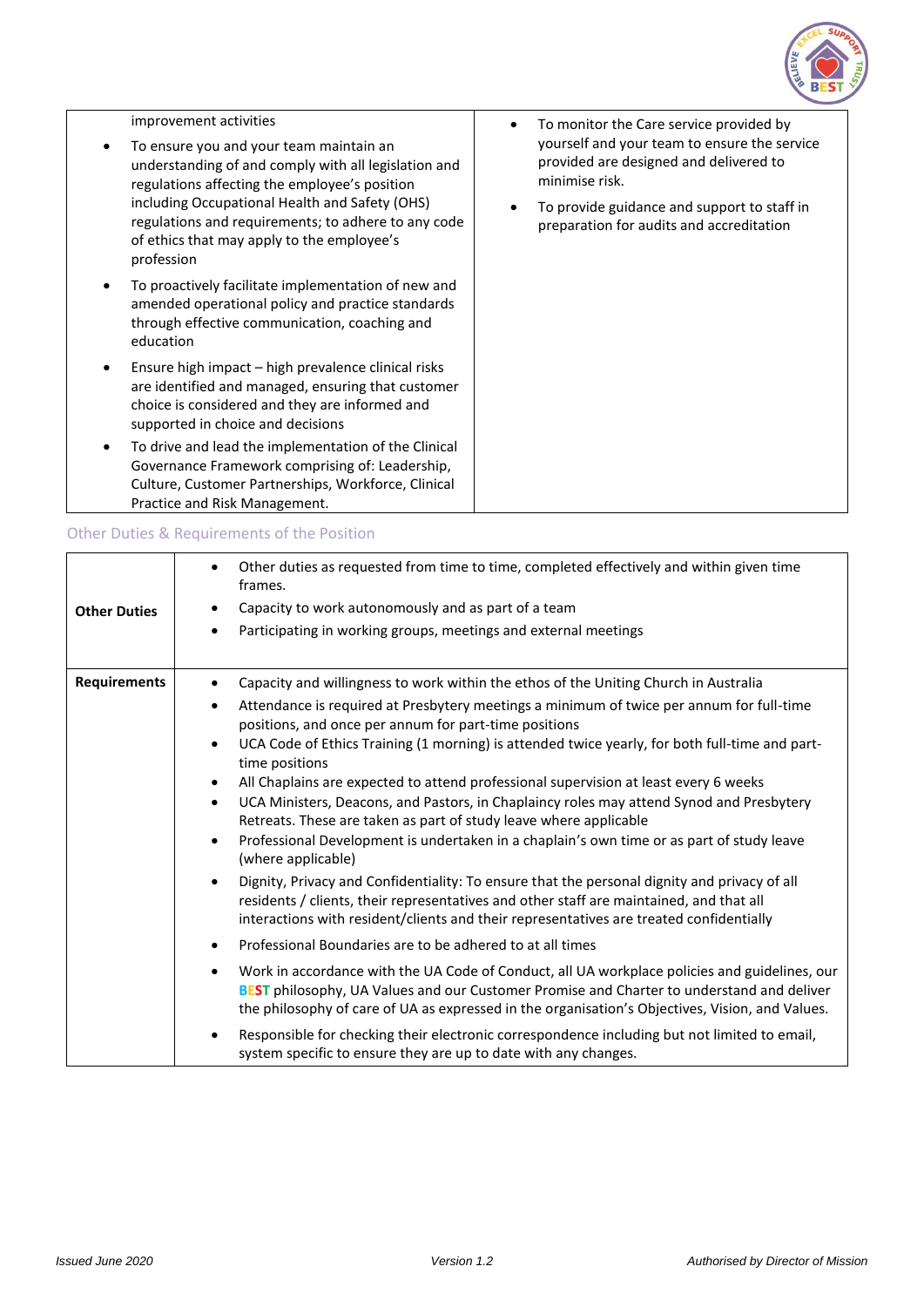

| improvement activities<br>To ensure you and your team maintain an<br>understanding of and comply with all legislation and<br>regulations affecting the employee's position<br>including Occupational Health and Safety (OHS)<br>regulations and requirements; to adhere to any code<br>of ethics that may apply to the employee's<br>profession | To monitor the Care service provided by<br>yourself and your team to ensure the service<br>provided are designed and delivered to<br>minimise risk.<br>To provide guidance and support to staff in<br>preparation for audits and accreditation |
|-------------------------------------------------------------------------------------------------------------------------------------------------------------------------------------------------------------------------------------------------------------------------------------------------------------------------------------------------|------------------------------------------------------------------------------------------------------------------------------------------------------------------------------------------------------------------------------------------------|
| To proactively facilitate implementation of new and<br>amended operational policy and practice standards<br>through effective communication, coaching and<br>education                                                                                                                                                                          |                                                                                                                                                                                                                                                |
| Ensure high impact – high prevalence clinical risks<br>are identified and managed, ensuring that customer<br>choice is considered and they are informed and<br>supported in choice and decisions                                                                                                                                                |                                                                                                                                                                                                                                                |
| To drive and lead the implementation of the Clinical<br>Governance Framework comprising of: Leadership,<br>Culture, Customer Partnerships, Workforce, Clinical<br>Practice and Risk Management.                                                                                                                                                 |                                                                                                                                                                                                                                                |
|                                                                                                                                                                                                                                                                                                                                                 |                                                                                                                                                                                                                                                |

# Other Duties & Requirements of the Position

| <b>Other Duties</b> | Other duties as requested from time to time, completed effectively and within given time<br>٠<br>frames.<br>Capacity to work autonomously and as part of a team<br>Participating in working groups, meetings and external meetings<br>٠                                                                                                                                                                                                                                                                                                                                                                                                                                                                                                                                                                                                                                                                                                                                                                                                                                                                                                                                                                                                                                                                                                                                                                                                                                                                                                                                                                                                                  |
|---------------------|----------------------------------------------------------------------------------------------------------------------------------------------------------------------------------------------------------------------------------------------------------------------------------------------------------------------------------------------------------------------------------------------------------------------------------------------------------------------------------------------------------------------------------------------------------------------------------------------------------------------------------------------------------------------------------------------------------------------------------------------------------------------------------------------------------------------------------------------------------------------------------------------------------------------------------------------------------------------------------------------------------------------------------------------------------------------------------------------------------------------------------------------------------------------------------------------------------------------------------------------------------------------------------------------------------------------------------------------------------------------------------------------------------------------------------------------------------------------------------------------------------------------------------------------------------------------------------------------------------------------------------------------------------|
| <b>Requirements</b> | Capacity and willingness to work within the ethos of the Uniting Church in Australia<br>$\bullet$<br>Attendance is required at Presbytery meetings a minimum of twice per annum for full-time<br>٠<br>positions, and once per annum for part-time positions<br>UCA Code of Ethics Training (1 morning) is attended twice yearly, for both full-time and part-<br>$\bullet$<br>time positions<br>All Chaplains are expected to attend professional supervision at least every 6 weeks<br>٠<br>UCA Ministers, Deacons, and Pastors, in Chaplaincy roles may attend Synod and Presbytery<br>$\bullet$<br>Retreats. These are taken as part of study leave where applicable<br>Professional Development is undertaken in a chaplain's own time or as part of study leave<br>$\bullet$<br>(where applicable)<br>Dignity, Privacy and Confidentiality: To ensure that the personal dignity and privacy of all<br>$\bullet$<br>residents / clients, their representatives and other staff are maintained, and that all<br>interactions with resident/clients and their representatives are treated confidentially<br>Professional Boundaries are to be adhered to at all times<br>Work in accordance with the UA Code of Conduct, all UA workplace policies and guidelines, our<br>$\bullet$<br>BEST philosophy, UA Values and our Customer Promise and Charter to understand and deliver<br>the philosophy of care of UA as expressed in the organisation's Objectives, Vision, and Values.<br>Responsible for checking their electronic correspondence including but not limited to email,<br>system specific to ensure they are up to date with any changes. |